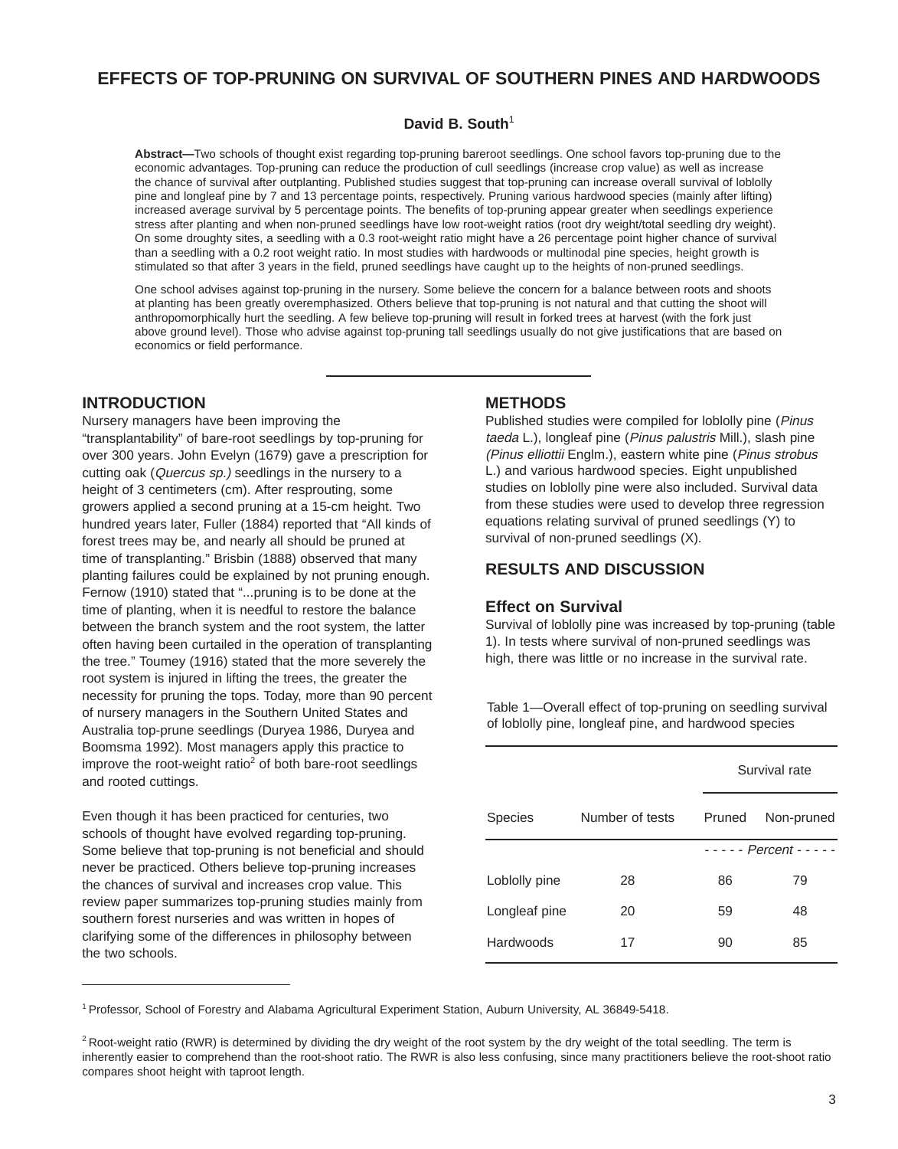# **EFFECTS OF TOP-PRUNING ON SURVIVAL OF SOUTHERN PINES AND HARDWOODS**

#### David B. South<sup>1</sup>

**Abstract—**Two schools of thought exist regarding top-pruning bareroot seedlings. One school favors top-pruning due to the economic advantages. Top-pruning can reduce the production of cull seedlings (increase crop value) as well as increase the chance of survival after outplanting. Published studies suggest that top-pruning can increase overall survival of loblolly pine and longleaf pine by 7 and 13 percentage points, respectively. Pruning various hardwood species (mainly after lifting) increased average survival by 5 percentage points. The benefits of top-pruning appear greater when seedlings experience stress after planting and when non-pruned seedlings have low root-weight ratios (root dry weight/total seedling dry weight). On some droughty sites, a seedling with a 0.3 root-weight ratio might have a 26 percentage point higher chance of survival than a seedling with a 0.2 root weight ratio. In most studies with hardwoods or multinodal pine species, height growth is stimulated so that after 3 years in the field, pruned seedlings have caught up to the heights of non-pruned seedlings.

One school advises against top-pruning in the nursery. Some believe the concern for a balance between roots and shoots at planting has been greatly overemphasized. Others believe that top-pruning is not natural and that cutting the shoot will anthropomorphically hurt the seedling. A few believe top-pruning will result in forked trees at harvest (with the fork just above ground level). Those who advise against top-pruning tall seedlings usually do not give justifications that are based on economics or field performance.

### **INTRODUCTION**

Nursery managers have been improving the "transplantability" of bare-root seedlings by top-pruning for over 300 years. John Evelyn (1679) gave a prescription for cutting oak (Quercus sp.) seedlings in the nursery to a height of 3 centimeters (cm). After resprouting, some growers applied a second pruning at a 15-cm height. Two hundred years later, Fuller (1884) reported that "All kinds of forest trees may be, and nearly all should be pruned at time of transplanting." Brisbin (1888) observed that many planting failures could be explained by not pruning enough. Fernow (1910) stated that "...pruning is to be done at the time of planting, when it is needful to restore the balance between the branch system and the root system, the latter often having been curtailed in the operation of transplanting the tree." Toumey (1916) stated that the more severely the root system is injured in lifting the trees, the greater the necessity for pruning the tops. Today, more than 90 percent of nursery managers in the Southern United States and Australia top-prune seedlings (Duryea 1986, Duryea and Boomsma 1992). Most managers apply this practice to improve the root-weight ratio<sup>2</sup> of both bare-root seedlings and rooted cuttings.

Even though it has been practiced for centuries, two schools of thought have evolved regarding top-pruning. Some believe that top-pruning is not beneficial and should never be practiced. Others believe top-pruning increases the chances of survival and increases crop value. This review paper summarizes top-pruning studies mainly from southern forest nurseries and was written in hopes of clarifying some of the differences in philosophy between the two schools.

#### **METHODS**

Published studies were compiled for loblolly pine (Pinus taeda L.), longleaf pine (Pinus palustris Mill.), slash pine (Pinus elliottii Englm.), eastern white pine (Pinus strobus L.) and various hardwood species. Eight unpublished studies on loblolly pine were also included. Survival data from these studies were used to develop three regression equations relating survival of pruned seedlings (Y) to survival of non-pruned seedlings (X).

### **RESULTS AND DISCUSSION**

#### **Effect on Survival**

Survival of loblolly pine was increased by top-pruning (table 1). In tests where survival of non-pruned seedlings was high, there was little or no increase in the survival rate.

Table 1—Overall effect of top-pruning on seedling survival of loblolly pine, longleaf pine, and hardwood species

|                |                 | Survival rate               |            |
|----------------|-----------------|-----------------------------|------------|
| <b>Species</b> | Number of tests | Pruned                      | Non-pruned |
|                |                 | $- - - -$ Percent - - - - - |            |
| Loblolly pine  | 28              | 86                          | 79         |
| Longleaf pine  | 20              | 59                          | 48         |
| Hardwoods      | 17              | 90                          | 85         |
|                |                 |                             |            |

1 Professor, School of Forestry and Alabama Agricultural Experiment Station, Auburn University, AL 36849-5418.

<sup>&</sup>lt;sup>2</sup> Root-weight ratio (RWR) is determined by dividing the dry weight of the root system by the dry weight of the total seedling. The term is inherently easier to comprehend than the root-shoot ratio. The RWR is also less confusing, since many practitioners believe the root-shoot ratio compares shoot height with taproot length.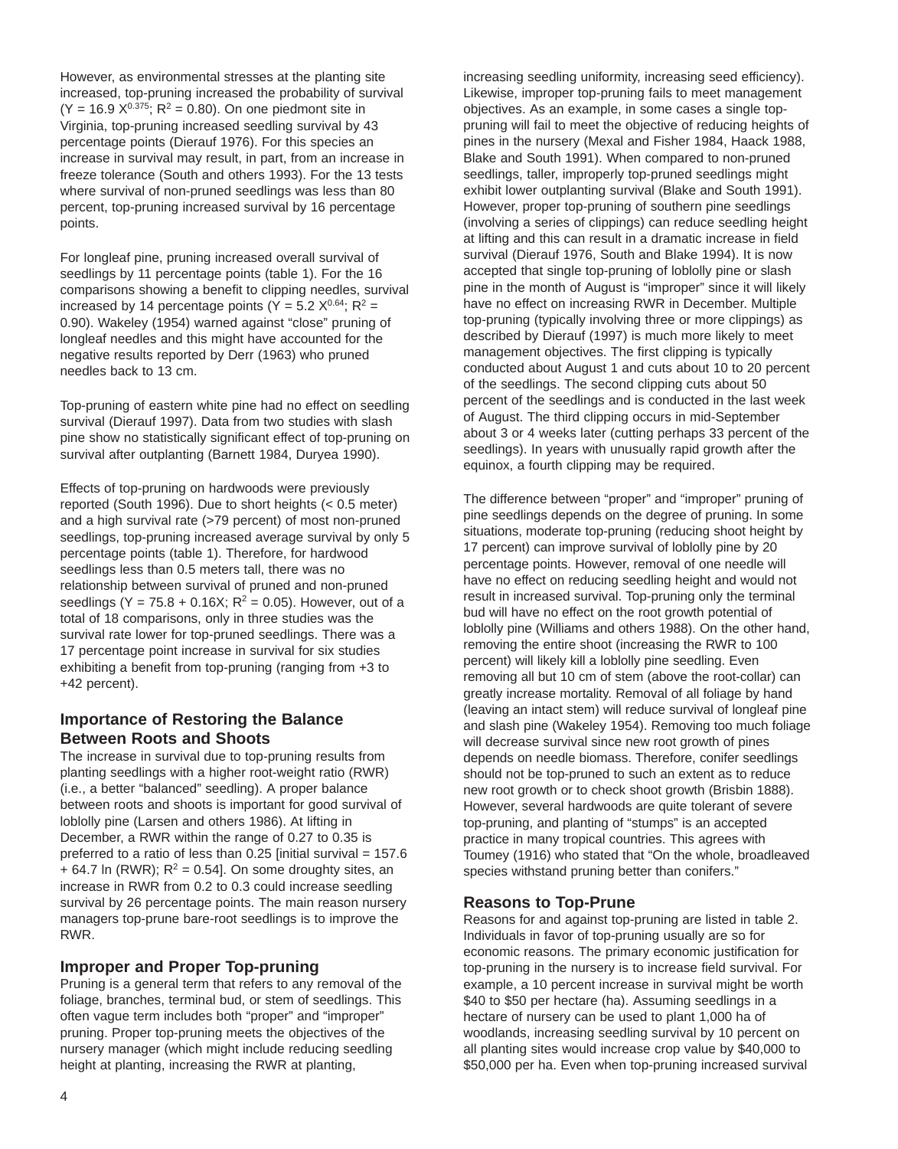However, as environmental stresses at the planting site increased, top-pruning increased the probability of survival  $(Y = 16.9 \times 0.375; R^2 = 0.80)$ . On one piedmont site in Virginia, top-pruning increased seedling survival by 43 percentage points (Dierauf 1976). For this species an increase in survival may result, in part, from an increase in freeze tolerance (South and others 1993). For the 13 tests where survival of non-pruned seedlings was less than 80 percent, top-pruning increased survival by 16 percentage points.

For longleaf pine, pruning increased overall survival of seedlings by 11 percentage points (table 1). For the 16 comparisons showing a benefit to clipping needles, survival increased by 14 percentage points (Y = 5.2  $X^{0.64}$ ; R<sup>2</sup> = 0.90). Wakeley (1954) warned against "close" pruning of longleaf needles and this might have accounted for the negative results reported by Derr (1963) who pruned needles back to 13 cm.

Top-pruning of eastern white pine had no effect on seedling survival (Dierauf 1997). Data from two studies with slash pine show no statistically significant effect of top-pruning on survival after outplanting (Barnett 1984, Duryea 1990).

Effects of top-pruning on hardwoods were previously reported (South 1996). Due to short heights (< 0.5 meter) and a high survival rate (>79 percent) of most non-pruned seedlings, top-pruning increased average survival by only 5 percentage points (table 1). Therefore, for hardwood seedlings less than 0.5 meters tall, there was no relationship between survival of pruned and non-pruned seedlings (Y = 75.8 + 0.16X;  $R^2$  = 0.05). However, out of a total of 18 comparisons, only in three studies was the survival rate lower for top-pruned seedlings. There was a 17 percentage point increase in survival for six studies exhibiting a benefit from top-pruning (ranging from +3 to +42 percent).

# **Importance of Restoring the Balance Between Roots and Shoots**

The increase in survival due to top-pruning results from planting seedlings with a higher root-weight ratio (RWR) (i.e., a better "balanced" seedling). A proper balance between roots and shoots is important for good survival of loblolly pine (Larsen and others 1986). At lifting in December, a RWR within the range of 0.27 to 0.35 is preferred to a ratio of less than 0.25 [initial survival = 157.6 + 64.7 ln (RWR);  $R^2$  = 0.54]. On some droughty sites, an increase in RWR from 0.2 to 0.3 could increase seedling survival by 26 percentage points. The main reason nursery managers top-prune bare-root seedlings is to improve the RWR.

# **Improper and Proper Top-pruning**

Pruning is a general term that refers to any removal of the foliage, branches, terminal bud, or stem of seedlings. This often vague term includes both "proper" and "improper" pruning. Proper top-pruning meets the objectives of the nursery manager (which might include reducing seedling height at planting, increasing the RWR at planting,

increasing seedling uniformity, increasing seed efficiency). Likewise, improper top-pruning fails to meet management objectives. As an example, in some cases a single toppruning will fail to meet the objective of reducing heights of pines in the nursery (Mexal and Fisher 1984, Haack 1988, Blake and South 1991). When compared to non-pruned seedlings, taller, improperly top-pruned seedlings might exhibit lower outplanting survival (Blake and South 1991). However, proper top-pruning of southern pine seedlings (involving a series of clippings) can reduce seedling height at lifting and this can result in a dramatic increase in field survival (Dierauf 1976, South and Blake 1994). It is now accepted that single top-pruning of loblolly pine or slash pine in the month of August is "improper" since it will likely have no effect on increasing RWR in December. Multiple top-pruning (typically involving three or more clippings) as described by Dierauf (1997) is much more likely to meet management objectives. The first clipping is typically conducted about August 1 and cuts about 10 to 20 percent of the seedlings. The second clipping cuts about 50 percent of the seedlings and is conducted in the last week of August. The third clipping occurs in mid-September about 3 or 4 weeks later (cutting perhaps 33 percent of the seedlings). In years with unusually rapid growth after the equinox, a fourth clipping may be required.

The difference between "proper" and "improper" pruning of pine seedlings depends on the degree of pruning. In some situations, moderate top-pruning (reducing shoot height by 17 percent) can improve survival of loblolly pine by 20 percentage points. However, removal of one needle will have no effect on reducing seedling height and would not result in increased survival. Top-pruning only the terminal bud will have no effect on the root growth potential of loblolly pine (Williams and others 1988). On the other hand, removing the entire shoot (increasing the RWR to 100 percent) will likely kill a loblolly pine seedling. Even removing all but 10 cm of stem (above the root-collar) can greatly increase mortality. Removal of all foliage by hand (leaving an intact stem) will reduce survival of longleaf pine and slash pine (Wakeley 1954). Removing too much foliage will decrease survival since new root growth of pines depends on needle biomass. Therefore, conifer seedlings should not be top-pruned to such an extent as to reduce new root growth or to check shoot growth (Brisbin 1888). However, several hardwoods are quite tolerant of severe top-pruning, and planting of "stumps" is an accepted practice in many tropical countries. This agrees with Toumey (1916) who stated that "On the whole, broadleaved species withstand pruning better than conifers."

# **Reasons to Top-Prune**

Reasons for and against top-pruning are listed in table 2. Individuals in favor of top-pruning usually are so for economic reasons. The primary economic justification for top-pruning in the nursery is to increase field survival. For example, a 10 percent increase in survival might be worth \$40 to \$50 per hectare (ha). Assuming seedlings in a hectare of nursery can be used to plant 1,000 ha of woodlands, increasing seedling survival by 10 percent on all planting sites would increase crop value by \$40,000 to \$50,000 per ha. Even when top-pruning increased survival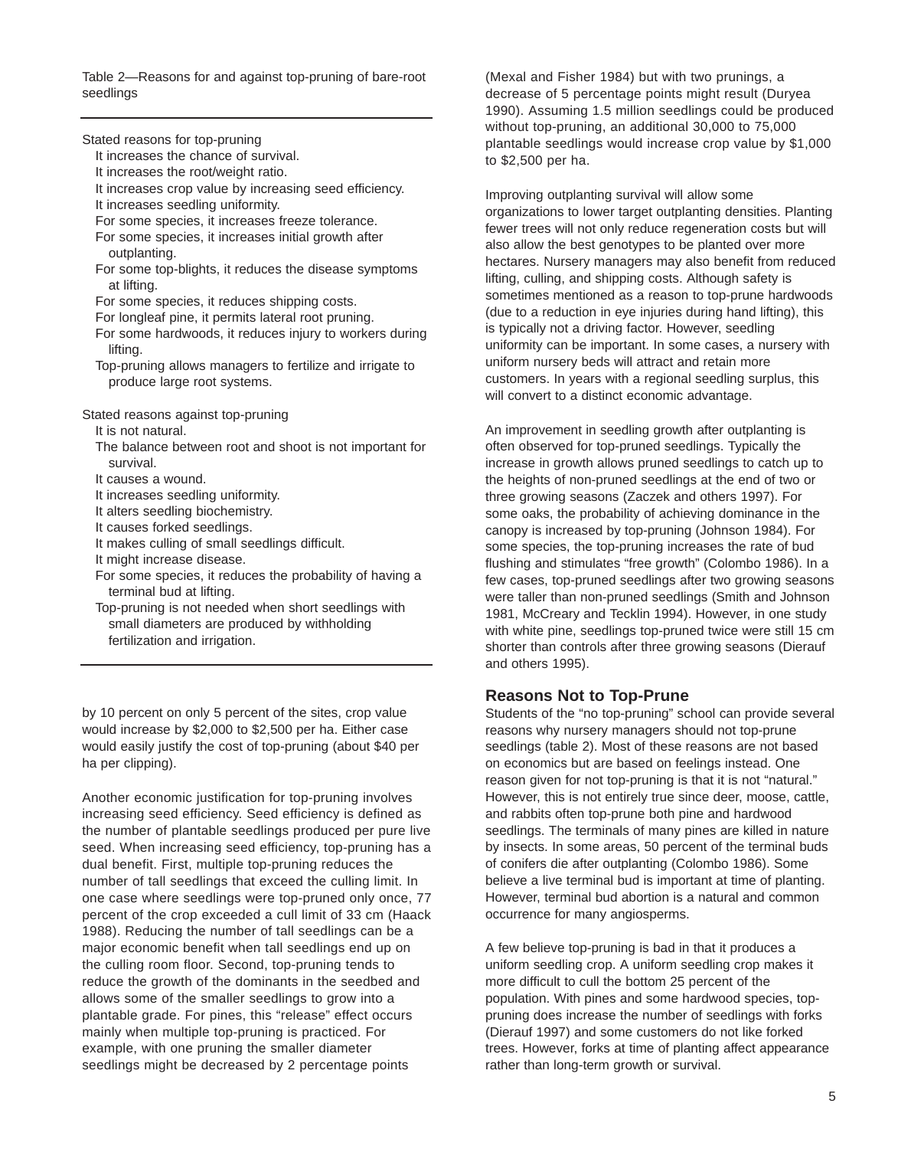Table 2—Reasons for and against top-pruning of bare-root seedlings

Stated reasons for top-pruning

- It increases the chance of survival.
- It increases the root/weight ratio.
- It increases crop value by increasing seed efficiency.
- It increases seedling uniformity.
- For some species, it increases freeze tolerance.
- For some species, it increases initial growth after outplanting.
- For some top-blights, it reduces the disease symptoms at lifting.
- For some species, it reduces shipping costs.
- For longleaf pine, it permits lateral root pruning.
- For some hardwoods, it reduces injury to workers during lifting.
- Top-pruning allows managers to fertilize and irrigate to produce large root systems.

Stated reasons against top-pruning

- It is not natural.
- The balance between root and shoot is not important for survival.
- It causes a wound.
- It increases seedling uniformity.
- It alters seedling biochemistry.
- It causes forked seedlings.
- It makes culling of small seedlings difficult.
- It might increase disease.
- For some species, it reduces the probability of having a terminal bud at lifting.
- Top-pruning is not needed when short seedlings with small diameters are produced by withholding fertilization and irrigation.

by 10 percent on only 5 percent of the sites, crop value would increase by \$2,000 to \$2,500 per ha. Either case would easily justify the cost of top-pruning (about \$40 per ha per clipping).

Another economic justification for top-pruning involves increasing seed efficiency. Seed efficiency is defined as the number of plantable seedlings produced per pure live seed. When increasing seed efficiency, top-pruning has a dual benefit. First, multiple top-pruning reduces the number of tall seedlings that exceed the culling limit. In one case where seedlings were top-pruned only once, 77 percent of the crop exceeded a cull limit of 33 cm (Haack 1988). Reducing the number of tall seedlings can be a major economic benefit when tall seedlings end up on the culling room floor. Second, top-pruning tends to reduce the growth of the dominants in the seedbed and allows some of the smaller seedlings to grow into a plantable grade. For pines, this "release" effect occurs mainly when multiple top-pruning is practiced. For example, with one pruning the smaller diameter seedlings might be decreased by 2 percentage points

(Mexal and Fisher 1984) but with two prunings, a decrease of 5 percentage points might result (Duryea 1990). Assuming 1.5 million seedlings could be produced without top-pruning, an additional 30,000 to 75,000 plantable seedlings would increase crop value by \$1,000 to \$2,500 per ha.

Improving outplanting survival will allow some organizations to lower target outplanting densities. Planting fewer trees will not only reduce regeneration costs but will also allow the best genotypes to be planted over more hectares. Nursery managers may also benefit from reduced lifting, culling, and shipping costs. Although safety is sometimes mentioned as a reason to top-prune hardwoods (due to a reduction in eye injuries during hand lifting), this is typically not a driving factor. However, seedling uniformity can be important. In some cases, a nursery with uniform nursery beds will attract and retain more customers. In years with a regional seedling surplus, this will convert to a distinct economic advantage.

An improvement in seedling growth after outplanting is often observed for top-pruned seedlings. Typically the increase in growth allows pruned seedlings to catch up to the heights of non-pruned seedlings at the end of two or three growing seasons (Zaczek and others 1997). For some oaks, the probability of achieving dominance in the canopy is increased by top-pruning (Johnson 1984). For some species, the top-pruning increases the rate of bud flushing and stimulates "free growth" (Colombo 1986). In a few cases, top-pruned seedlings after two growing seasons were taller than non-pruned seedlings (Smith and Johnson 1981, McCreary and Tecklin 1994). However, in one study with white pine, seedlings top-pruned twice were still 15 cm shorter than controls after three growing seasons (Dierauf and others 1995).

#### **Reasons Not to Top-Prune**

Students of the "no top-pruning" school can provide several reasons why nursery managers should not top-prune seedlings (table 2). Most of these reasons are not based on economics but are based on feelings instead. One reason given for not top-pruning is that it is not "natural." However, this is not entirely true since deer, moose, cattle, and rabbits often top-prune both pine and hardwood seedlings. The terminals of many pines are killed in nature by insects. In some areas, 50 percent of the terminal buds of conifers die after outplanting (Colombo 1986). Some believe a live terminal bud is important at time of planting. However, terminal bud abortion is a natural and common occurrence for many angiosperms.

A few believe top-pruning is bad in that it produces a uniform seedling crop. A uniform seedling crop makes it more difficult to cull the bottom 25 percent of the population. With pines and some hardwood species, toppruning does increase the number of seedlings with forks (Dierauf 1997) and some customers do not like forked trees. However, forks at time of planting affect appearance rather than long-term growth or survival.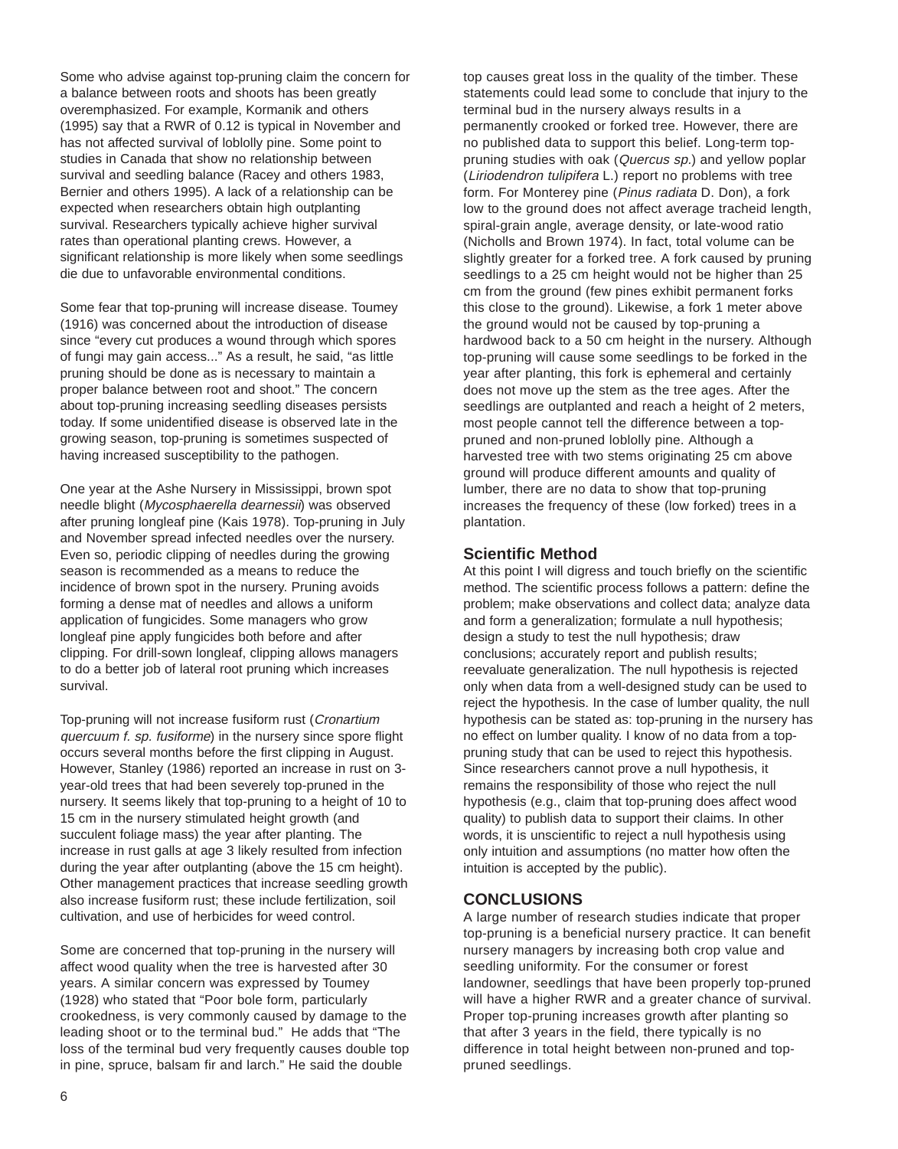Some who advise against top-pruning claim the concern for a balance between roots and shoots has been greatly overemphasized. For example, Kormanik and others (1995) say that a RWR of 0.12 is typical in November and has not affected survival of loblolly pine. Some point to studies in Canada that show no relationship between survival and seedling balance (Racey and others 1983, Bernier and others 1995). A lack of a relationship can be expected when researchers obtain high outplanting survival. Researchers typically achieve higher survival rates than operational planting crews. However, a significant relationship is more likely when some seedlings die due to unfavorable environmental conditions.

Some fear that top-pruning will increase disease. Toumey (1916) was concerned about the introduction of disease since "every cut produces a wound through which spores of fungi may gain access..." As a result, he said, "as little pruning should be done as is necessary to maintain a proper balance between root and shoot." The concern about top-pruning increasing seedling diseases persists today. If some unidentified disease is observed late in the growing season, top-pruning is sometimes suspected of having increased susceptibility to the pathogen.

One year at the Ashe Nursery in Mississippi, brown spot needle blight (Mycosphaerella dearnessii) was observed after pruning longleaf pine (Kais 1978). Top-pruning in July and November spread infected needles over the nursery. Even so, periodic clipping of needles during the growing season is recommended as a means to reduce the incidence of brown spot in the nursery. Pruning avoids forming a dense mat of needles and allows a uniform application of fungicides. Some managers who grow longleaf pine apply fungicides both before and after clipping. For drill-sown longleaf, clipping allows managers to do a better job of lateral root pruning which increases survival.

Top-pruning will not increase fusiform rust (Cronartium quercuum f. sp. fusiforme) in the nursery since spore flight occurs several months before the first clipping in August. However, Stanley (1986) reported an increase in rust on 3 year-old trees that had been severely top-pruned in the nursery. It seems likely that top-pruning to a height of 10 to 15 cm in the nursery stimulated height growth (and succulent foliage mass) the year after planting. The increase in rust galls at age 3 likely resulted from infection during the year after outplanting (above the 15 cm height). Other management practices that increase seedling growth also increase fusiform rust; these include fertilization, soil cultivation, and use of herbicides for weed control.

Some are concerned that top-pruning in the nursery will affect wood quality when the tree is harvested after 30 years. A similar concern was expressed by Toumey (1928) who stated that "Poor bole form, particularly crookedness, is very commonly caused by damage to the leading shoot or to the terminal bud." He adds that "The loss of the terminal bud very frequently causes double top in pine, spruce, balsam fir and larch." He said the double

top causes great loss in the quality of the timber. These statements could lead some to conclude that injury to the terminal bud in the nursery always results in a permanently crooked or forked tree. However, there are no published data to support this belief. Long-term toppruning studies with oak (Quercus sp.) and yellow poplar (Liriodendron tulipifera L.) report no problems with tree form. For Monterey pine (Pinus radiata D. Don), a fork low to the ground does not affect average tracheid length, spiral-grain angle, average density, or late-wood ratio (Nicholls and Brown 1974). In fact, total volume can be slightly greater for a forked tree. A fork caused by pruning seedlings to a 25 cm height would not be higher than 25 cm from the ground (few pines exhibit permanent forks this close to the ground). Likewise, a fork 1 meter above the ground would not be caused by top-pruning a hardwood back to a 50 cm height in the nursery. Although top-pruning will cause some seedlings to be forked in the year after planting, this fork is ephemeral and certainly does not move up the stem as the tree ages. After the seedlings are outplanted and reach a height of 2 meters, most people cannot tell the difference between a toppruned and non-pruned loblolly pine. Although a harvested tree with two stems originating 25 cm above ground will produce different amounts and quality of lumber, there are no data to show that top-pruning increases the frequency of these (low forked) trees in a plantation.

### **Scientific Method**

At this point I will digress and touch briefly on the scientific method. The scientific process follows a pattern: define the problem; make observations and collect data; analyze data and form a generalization; formulate a null hypothesis; design a study to test the null hypothesis; draw conclusions; accurately report and publish results; reevaluate generalization. The null hypothesis is rejected only when data from a well-designed study can be used to reject the hypothesis. In the case of lumber quality, the null hypothesis can be stated as: top-pruning in the nursery has no effect on lumber quality. I know of no data from a toppruning study that can be used to reject this hypothesis. Since researchers cannot prove a null hypothesis, it remains the responsibility of those who reject the null hypothesis (e.g., claim that top-pruning does affect wood quality) to publish data to support their claims. In other words, it is unscientific to reject a null hypothesis using only intuition and assumptions (no matter how often the intuition is accepted by the public).

# **CONCLUSIONS**

A large number of research studies indicate that proper top-pruning is a beneficial nursery practice. It can benefit nursery managers by increasing both crop value and seedling uniformity. For the consumer or forest landowner, seedlings that have been properly top-pruned will have a higher RWR and a greater chance of survival. Proper top-pruning increases growth after planting so that after 3 years in the field, there typically is no difference in total height between non-pruned and toppruned seedlings.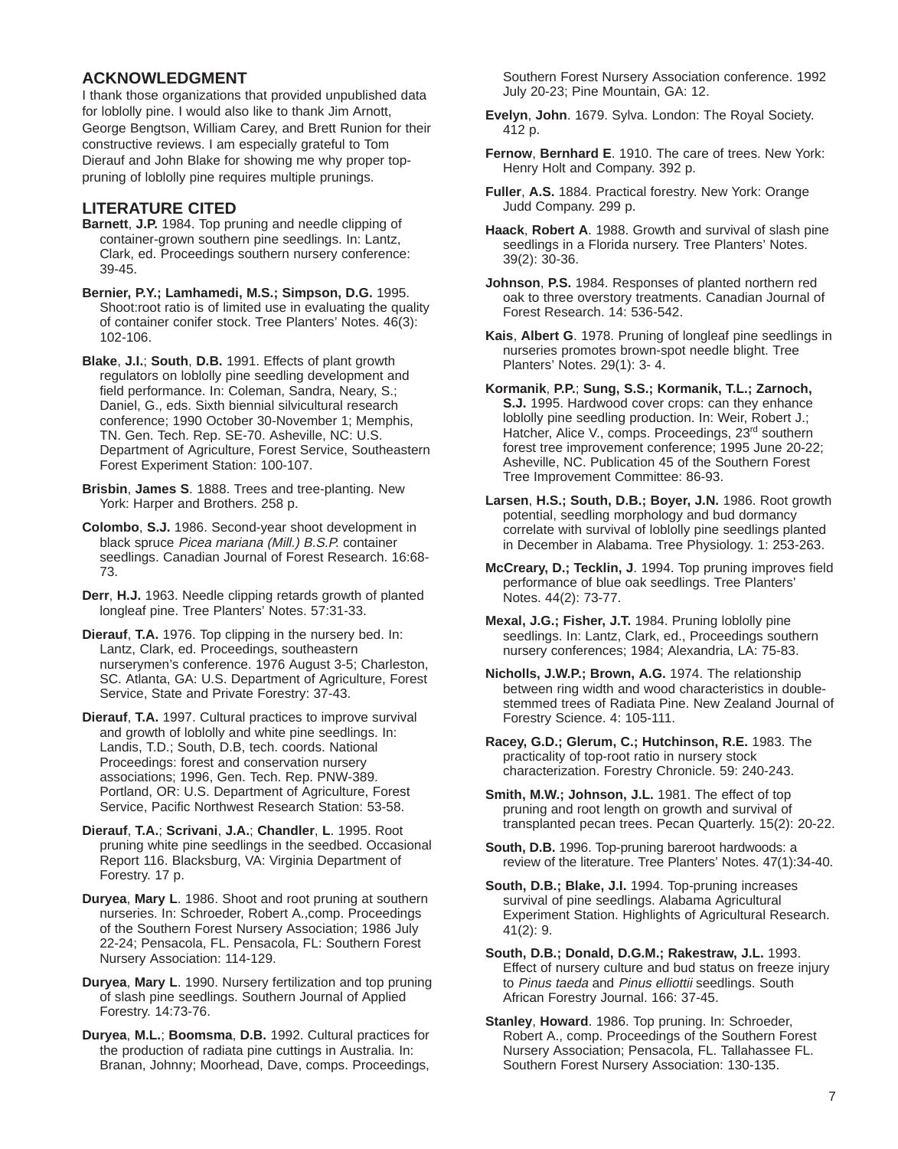# **ACKNOWLEDGMENT**

I thank those organizations that provided unpublished data for loblolly pine. I would also like to thank Jim Arnott, George Bengtson, William Carey, and Brett Runion for their constructive reviews. I am especially grateful to Tom Dierauf and John Blake for showing me why proper toppruning of loblolly pine requires multiple prunings.

### **LITERATURE CITED**

- **Barnett**, **J.P.** 1984. Top pruning and needle clipping of container-grown southern pine seedlings. In: Lantz, Clark, ed. Proceedings southern nursery conference: 39-45.
- **Bernier, P.Y.; Lamhamedi, M.S.; Simpson, D.G.** 1995. Shoot:root ratio is of limited use in evaluating the quality of container conifer stock. Tree Planters' Notes. 46(3): 102-106.
- **Blake**, **J.I.**; **South**, **D.B.** 1991. Effects of plant growth regulators on loblolly pine seedling development and field performance. In: Coleman, Sandra, Neary, S.; Daniel, G., eds. Sixth biennial silvicultural research conference; 1990 October 30-November 1; Memphis, TN. Gen. Tech. Rep. SE-70. Asheville, NC: U.S. Department of Agriculture, Forest Service, Southeastern Forest Experiment Station: 100-107.
- **Brisbin**, **James S**. 1888. Trees and tree-planting. New York: Harper and Brothers. 258 p.
- **Colombo**, **S.J.** 1986. Second-year shoot development in black spruce Picea mariana (Mill.) B.S.P. container seedlings. Canadian Journal of Forest Research. 16:68- 73.
- **Derr**, **H.J.** 1963. Needle clipping retards growth of planted longleaf pine. Tree Planters' Notes. 57:31-33.
- **Dierauf**, **T.A.** 1976. Top clipping in the nursery bed. In: Lantz, Clark, ed. Proceedings, southeastern nurserymen's conference. 1976 August 3-5; Charleston, SC. Atlanta, GA: U.S. Department of Agriculture, Forest Service, State and Private Forestry: 37-43.
- **Dierauf**, **T.A.** 1997. Cultural practices to improve survival and growth of loblolly and white pine seedlings. In: Landis, T.D.; South, D.B, tech. coords. National Proceedings: forest and conservation nursery associations; 1996, Gen. Tech. Rep. PNW-389. Portland, OR: U.S. Department of Agriculture, Forest Service, Pacific Northwest Research Station: 53-58.
- **Dierauf**, **T.A.**; **Scrivani**, **J.A.**; **Chandler**, **L**. 1995. Root pruning white pine seedlings in the seedbed. Occasional Report 116. Blacksburg, VA: Virginia Department of Forestry. 17 p.
- **Duryea**, **Mary L**. 1986. Shoot and root pruning at southern nurseries. In: Schroeder, Robert A.,comp. Proceedings of the Southern Forest Nursery Association; 1986 July 22-24; Pensacola, FL. Pensacola, FL: Southern Forest Nursery Association: 114-129.
- **Duryea**, **Mary L**. 1990. Nursery fertilization and top pruning of slash pine seedlings. Southern Journal of Applied Forestry. 14:73-76.
- **Duryea**, **M.L.**; **Boomsma**, **D.B.** 1992. Cultural practices for the production of radiata pine cuttings in Australia. In: Branan, Johnny; Moorhead, Dave, comps. Proceedings,

Southern Forest Nursery Association conference. 1992 July 20-23; Pine Mountain, GA: 12.

- **Evelyn**, **John**. 1679. Sylva. London: The Royal Society. 412 p.
- **Fernow**, **Bernhard E**. 1910. The care of trees. New York: Henry Holt and Company. 392 p.
- **Fuller**, **A.S.** 1884. Practical forestry. New York: Orange Judd Company. 299 p.
- **Haack**, **Robert A**. 1988. Growth and survival of slash pine seedlings in a Florida nursery. Tree Planters' Notes. 39(2): 30-36.
- **Johnson**, **P.S.** 1984. Responses of planted northern red oak to three overstory treatments. Canadian Journal of Forest Research. 14: 536-542.
- **Kais**, **Albert G**. 1978. Pruning of longleaf pine seedlings in nurseries promotes brown-spot needle blight. Tree Planters' Notes. 29(1): 3- 4.
- **Kormanik**, **P.P.**; **Sung, S.S.; Kormanik, T.L.; Zarnoch, S.J.** 1995. Hardwood cover crops: can they enhance loblolly pine seedling production. In: Weir, Robert J.; Hatcher, Alice V., comps. Proceedings, 23<sup>rd</sup> southern forest tree improvement conference; 1995 June 20-22; Asheville, NC. Publication 45 of the Southern Forest Tree Improvement Committee: 86-93.
- **Larsen**, **H.S.; South, D.B.; Boyer, J.N.** 1986. Root growth potential, seedling morphology and bud dormancy correlate with survival of loblolly pine seedlings planted in December in Alabama. Tree Physiology. 1: 253-263.
- **McCreary, D.; Tecklin, J**. 1994. Top pruning improves field performance of blue oak seedlings. Tree Planters' Notes. 44(2): 73-77.
- **Mexal, J.G.; Fisher, J.T.** 1984. Pruning loblolly pine seedlings. In: Lantz, Clark, ed., Proceedings southern nursery conferences; 1984; Alexandria, LA: 75-83.
- **Nicholls, J.W.P.; Brown, A.G.** 1974. The relationship between ring width and wood characteristics in doublestemmed trees of Radiata Pine. New Zealand Journal of Forestry Science. 4: 105-111.
- **Racey, G.D.; Glerum, C.; Hutchinson, R.E.** 1983. The practicality of top-root ratio in nursery stock characterization. Forestry Chronicle. 59: 240-243.
- **Smith, M.W.; Johnson, J.L.** 1981. The effect of top pruning and root length on growth and survival of transplanted pecan trees. Pecan Quarterly. 15(2): 20-22.
- **South, D.B.** 1996. Top-pruning bareroot hardwoods: a review of the literature. Tree Planters' Notes. 47(1):34-40.
- **South, D.B.; Blake, J.I.** 1994. Top-pruning increases survival of pine seedlings. Alabama Agricultural Experiment Station. Highlights of Agricultural Research. 41(2): 9.
- **South, D.B.; Donald, D.G.M.; Rakestraw, J.L.** 1993. Effect of nursery culture and bud status on freeze injury to Pinus taeda and Pinus elliottii seedlings. South African Forestry Journal. 166: 37-45.
- **Stanley**, **Howard**. 1986. Top pruning. In: Schroeder, Robert A., comp. Proceedings of the Southern Forest Nursery Association; Pensacola, FL. Tallahassee FL. Southern Forest Nursery Association: 130-135.